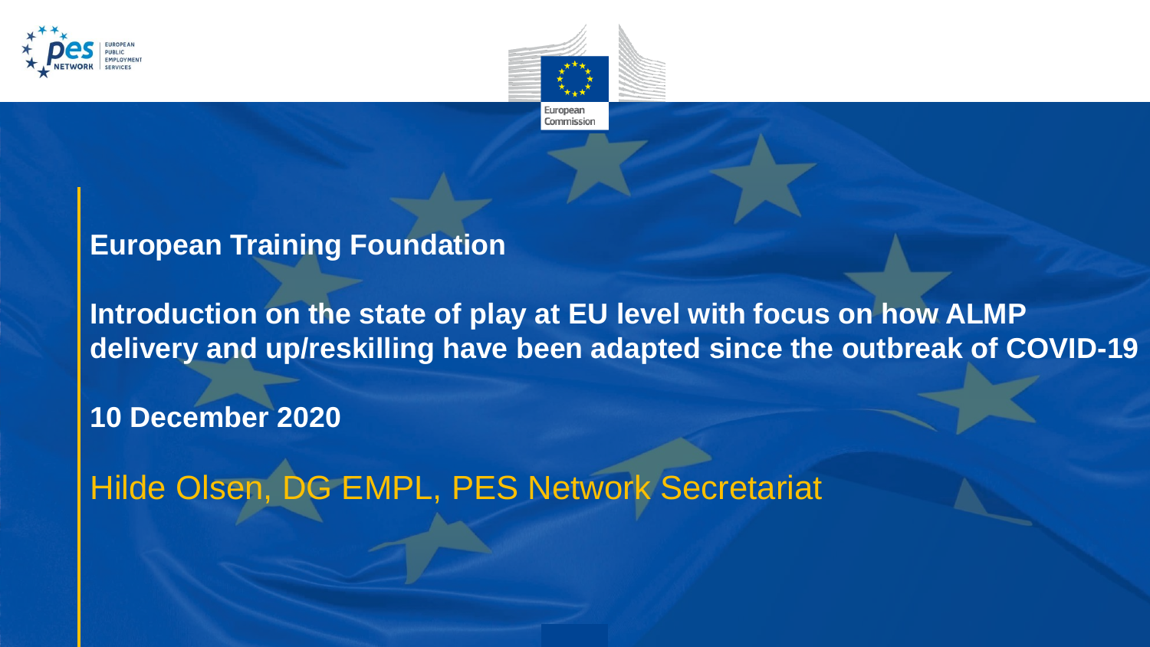



#### **European Training Foundation**

**Introduction on the state of play at EU level with focus on how ALMP delivery and up/reskilling have been adapted since the outbreak of COVID-19** 

**10 December 2020**

Hilde Olsen, DG EMPL, PES Network Secretariat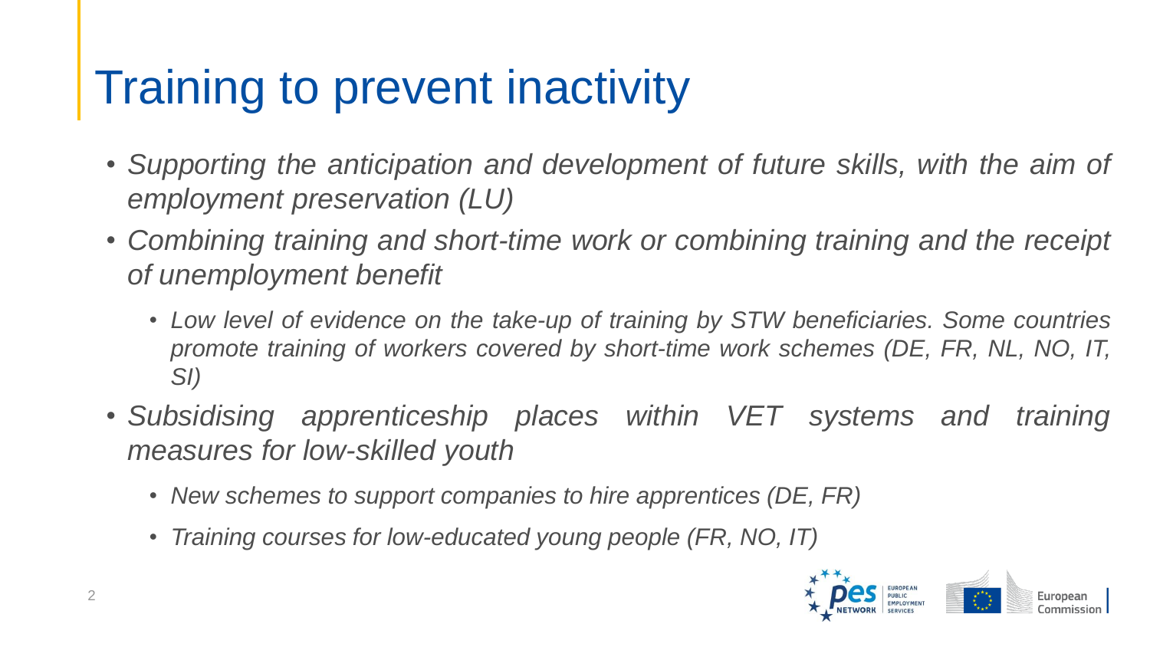## Training to prevent inactivity

- *Supporting the anticipation and development of future skills, with the aim of employment preservation (LU)*
- *Combining training and short-time work or combining training and the receipt of unemployment benefit*
	- *Low level of evidence on the take-up of training by STW beneficiaries. Some countries promote training of workers covered by short-time work schemes (DE, FR, NL, NO, IT, SI)*
- *Subsidising apprenticeship places within VET systems and training measures for low-skilled youth*
	- *New schemes to support companies to hire apprentices (DE, FR)*
	- *Training courses for low-educated young people (FR, NO, IT)*

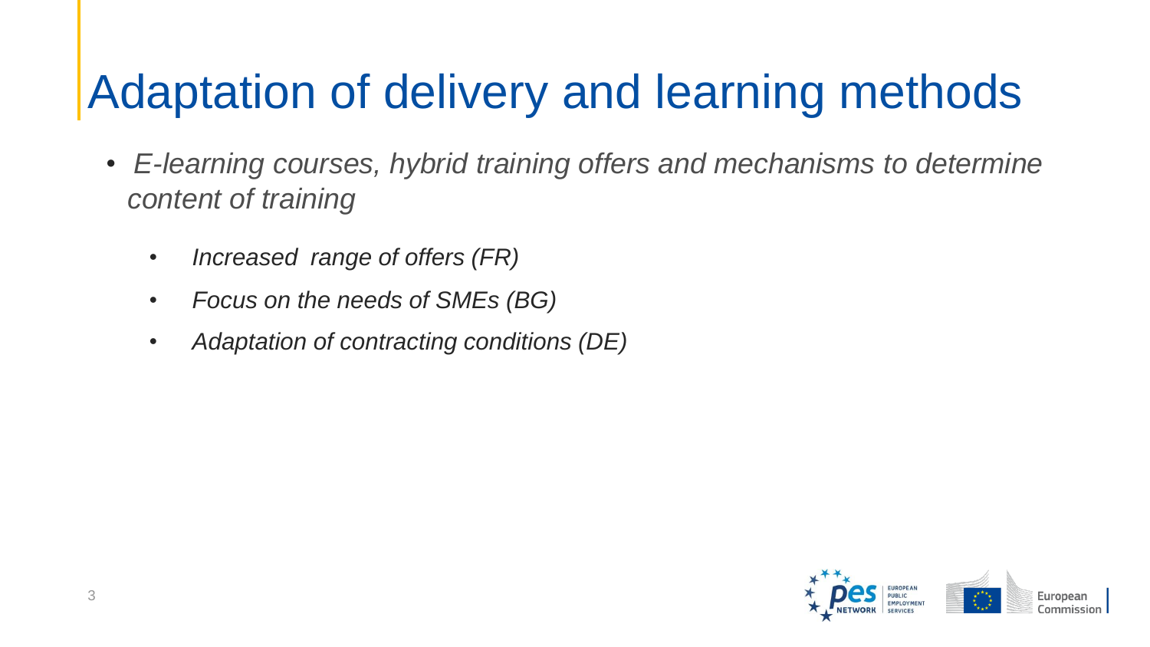## Adaptation of delivery and learning methods

- *E-learning courses, hybrid training offers and mechanisms to determine content of training*
	- *Increased range of offers (FR)*
	- *Focus on the needs of SMEs (BG)*
	- *Adaptation of contracting conditions (DE)*

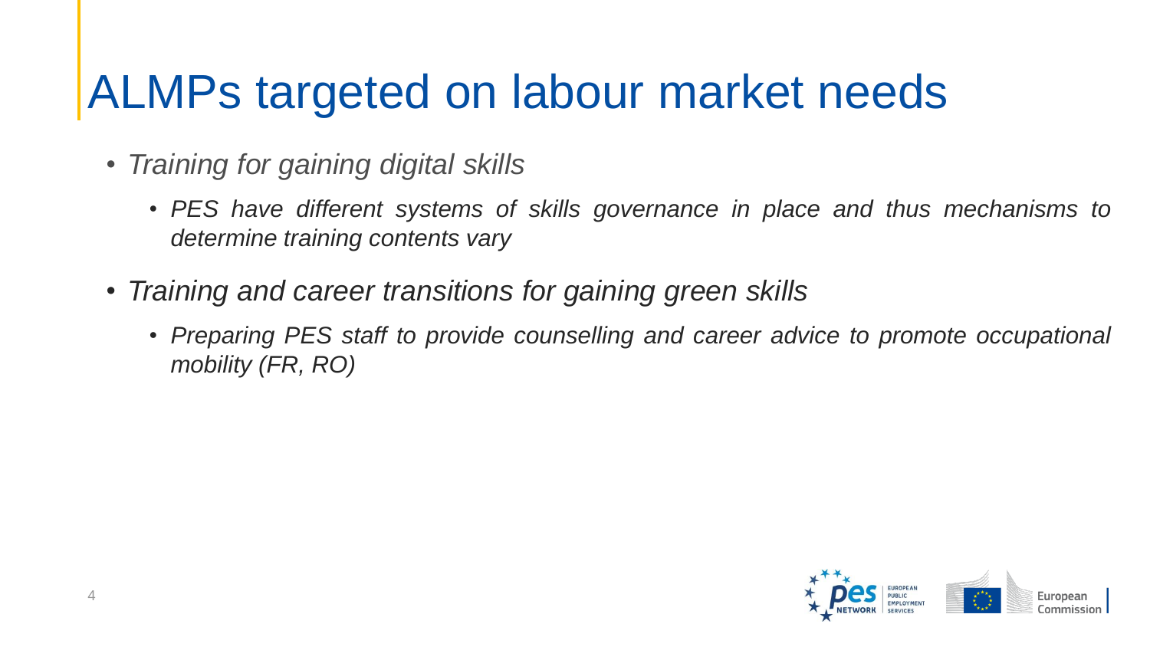#### ALMPs targeted on labour market needs

- *Training for gaining digital skills*
	- *PES have different systems of skills governance in place and thus mechanisms to determine training contents vary*
- *Training and career transitions for gaining green skills*
	- *Preparing PES staff to provide counselling and career advice to promote occupational mobility (FR, RO)*